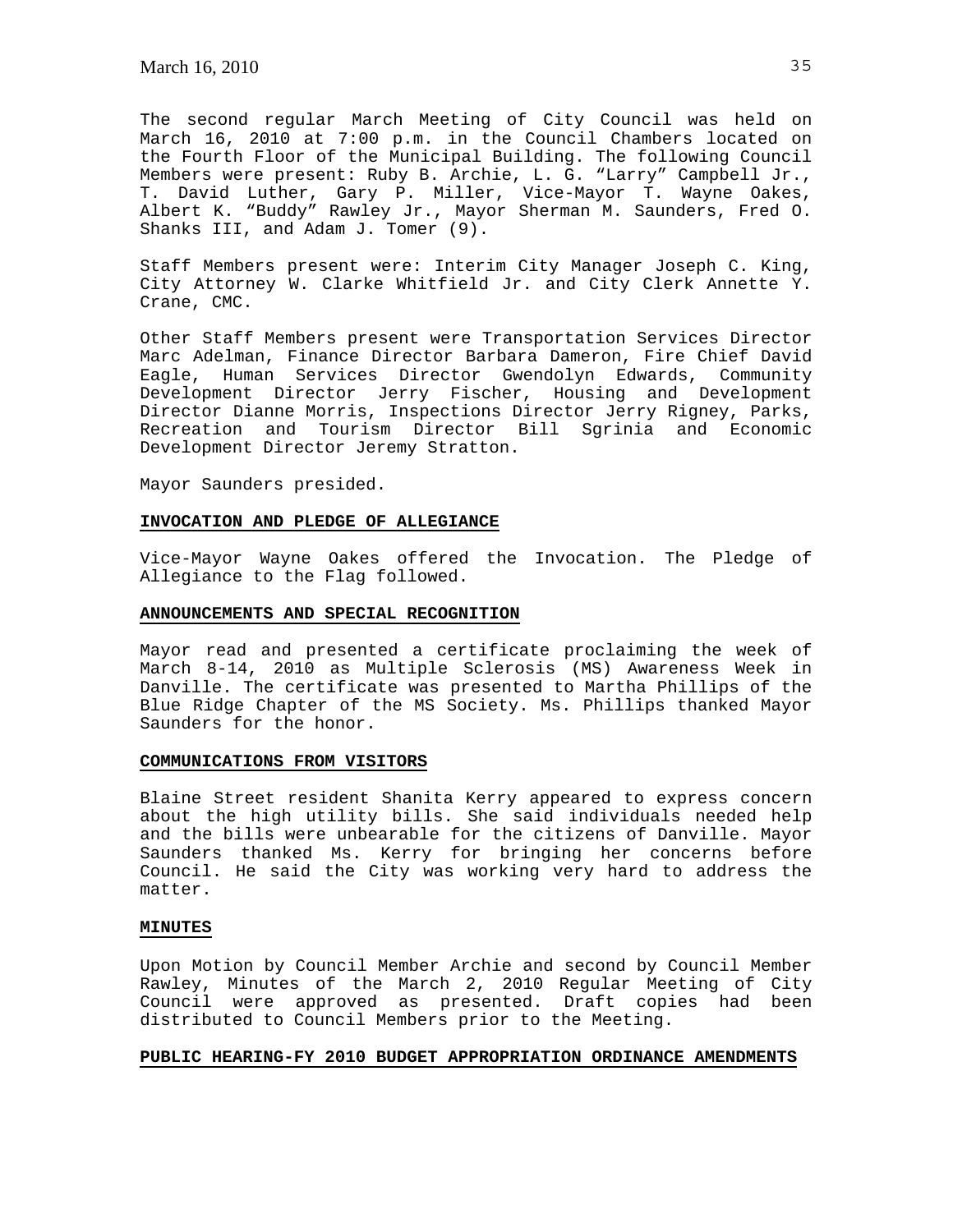The second regular March Meeting of City Council was held on March 16, 2010 at 7:00 p.m. in the Council Chambers located on the Fourth Floor of the Municipal Building. The following Council Members were present: Ruby B. Archie, L. G. "Larry" Campbell Jr., T. David Luther, Gary P. Miller, Vice-Mayor T. Wayne Oakes, Albert K. "Buddy" Rawley Jr., Mayor Sherman M. Saunders, Fred O. Shanks III, and Adam J. Tomer (9).

Staff Members present were: Interim City Manager Joseph C. King, City Attorney W. Clarke Whitfield Jr. and City Clerk Annette Y. Crane, CMC.

Other Staff Members present were Transportation Services Director Marc Adelman, Finance Director Barbara Dameron, Fire Chief David Eagle, Human Services Director Gwendolyn Edwards, Community Development Director Jerry Fischer, Housing and Development Director Dianne Morris, Inspections Director Jerry Rigney, Parks, Recreation and Tourism Director Bill Sgrinia and Economic Development Director Jeremy Stratton.

Mayor Saunders presided.

### **INVOCATION AND PLEDGE OF ALLEGIANCE**

Vice-Mayor Wayne Oakes offered the Invocation. The Pledge of Allegiance to the Flag followed.

### **ANNOUNCEMENTS AND SPECIAL RECOGNITION**

Mayor read and presented a certificate proclaiming the week of March 8-14, 2010 as Multiple Sclerosis (MS) Awareness Week in Danville. The certificate was presented to Martha Phillips of the Blue Ridge Chapter of the MS Society. Ms. Phillips thanked Mayor Saunders for the honor.

### **COMMUNICATIONS FROM VISITORS**

Blaine Street resident Shanita Kerry appeared to express concern about the high utility bills. She said individuals needed help and the bills were unbearable for the citizens of Danville. Mayor Saunders thanked Ms. Kerry for bringing her concerns before Council. He said the City was working very hard to address the matter.

# **MINUTES**

Upon Motion by Council Member Archie and second by Council Member Rawley, Minutes of the March 2, 2010 Regular Meeting of City Council were approved as presented. Draft copies had been distributed to Council Members prior to the Meeting.

# **PUBLIC HEARING-FY 2010 BUDGET APPROPRIATION ORDINANCE AMENDMENTS**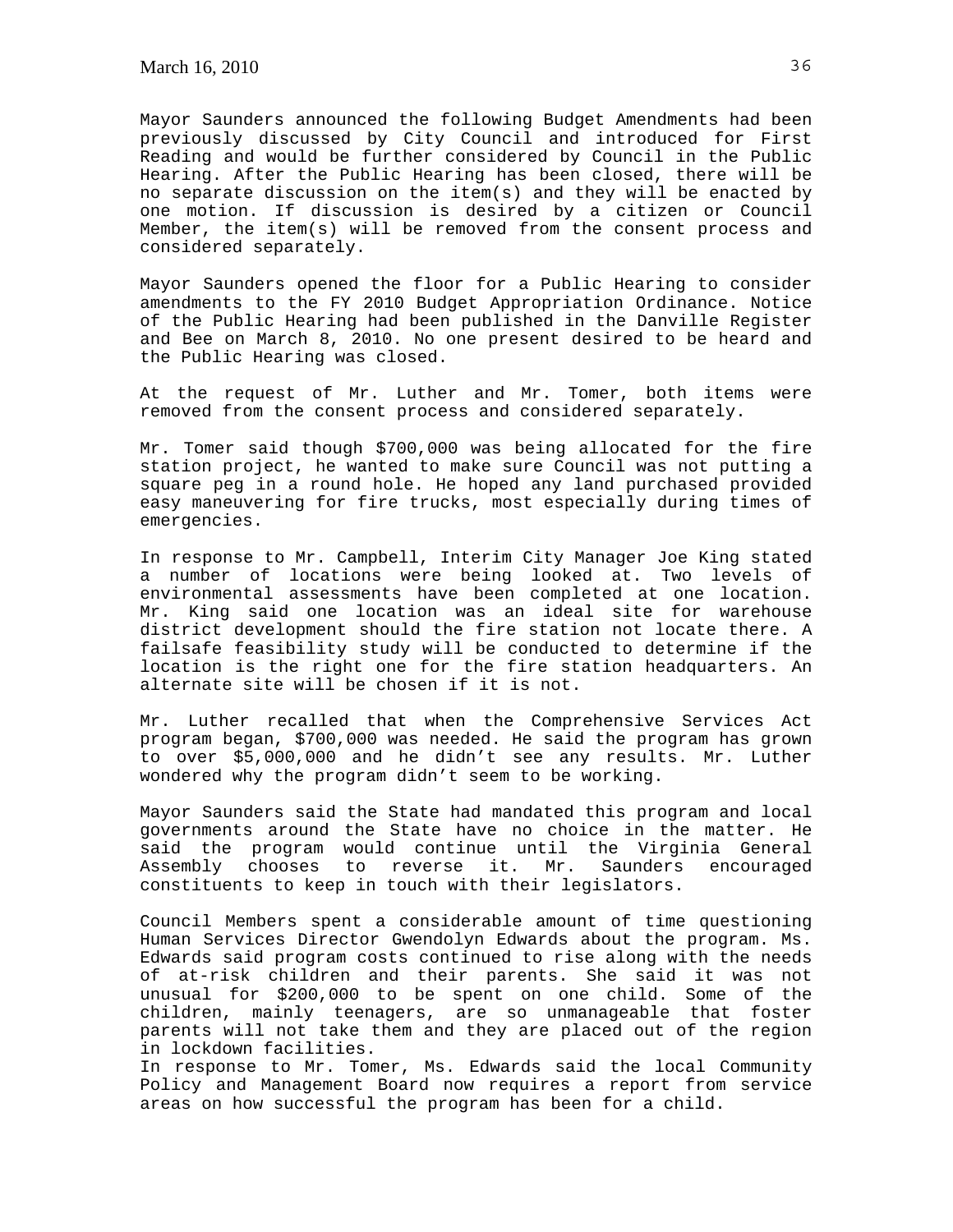Mayor Saunders announced the following Budget Amendments had been previously discussed by City Council and introduced for First Reading and would be further considered by Council in the Public Hearing. After the Public Hearing has been closed, there will be no separate discussion on the item(s) and they will be enacted by one motion. If discussion is desired by a citizen or Council Member, the item(s) will be removed from the consent process and considered separately.

Mayor Saunders opened the floor for a Public Hearing to consider amendments to the FY 2010 Budget Appropriation Ordinance. Notice of the Public Hearing had been published in the Danville Register and Bee on March 8, 2010. No one present desired to be heard and the Public Hearing was closed.

At the request of Mr. Luther and Mr. Tomer, both items were removed from the consent process and considered separately.

Mr. Tomer said though \$700,000 was being allocated for the fire station project, he wanted to make sure Council was not putting a square peg in a round hole. He hoped any land purchased provided easy maneuvering for fire trucks, most especially during times of emergencies.

In response to Mr. Campbell, Interim City Manager Joe King stated a number of locations were being looked at. Two levels of environmental assessments have been completed at one location. Mr. King said one location was an ideal site for warehouse district development should the fire station not locate there. A failsafe feasibility study will be conducted to determine if the location is the right one for the fire station headquarters. An alternate site will be chosen if it is not.

Mr. Luther recalled that when the Comprehensive Services Act program began, \$700,000 was needed. He said the program has grown to over \$5,000,000 and he didn't see any results. Mr. Luther wondered why the program didn't seem to be working.

Mayor Saunders said the State had mandated this program and local governments around the State have no choice in the matter. He said the program would continue until the Virginia General Assembly chooses to reverse it. Mr. Saunders encouraged constituents to keep in touch with their legislators.

Council Members spent a considerable amount of time questioning Human Services Director Gwendolyn Edwards about the program. Ms. Edwards said program costs continued to rise along with the needs of at-risk children and their parents. She said it was not unusual for \$200,000 to be spent on one child. Some of the children, mainly teenagers, are so unmanageable that foster parents will not take them and they are placed out of the region in lockdown facilities.

In response to Mr. Tomer, Ms. Edwards said the local Community Policy and Management Board now requires a report from service areas on how successful the program has been for a child.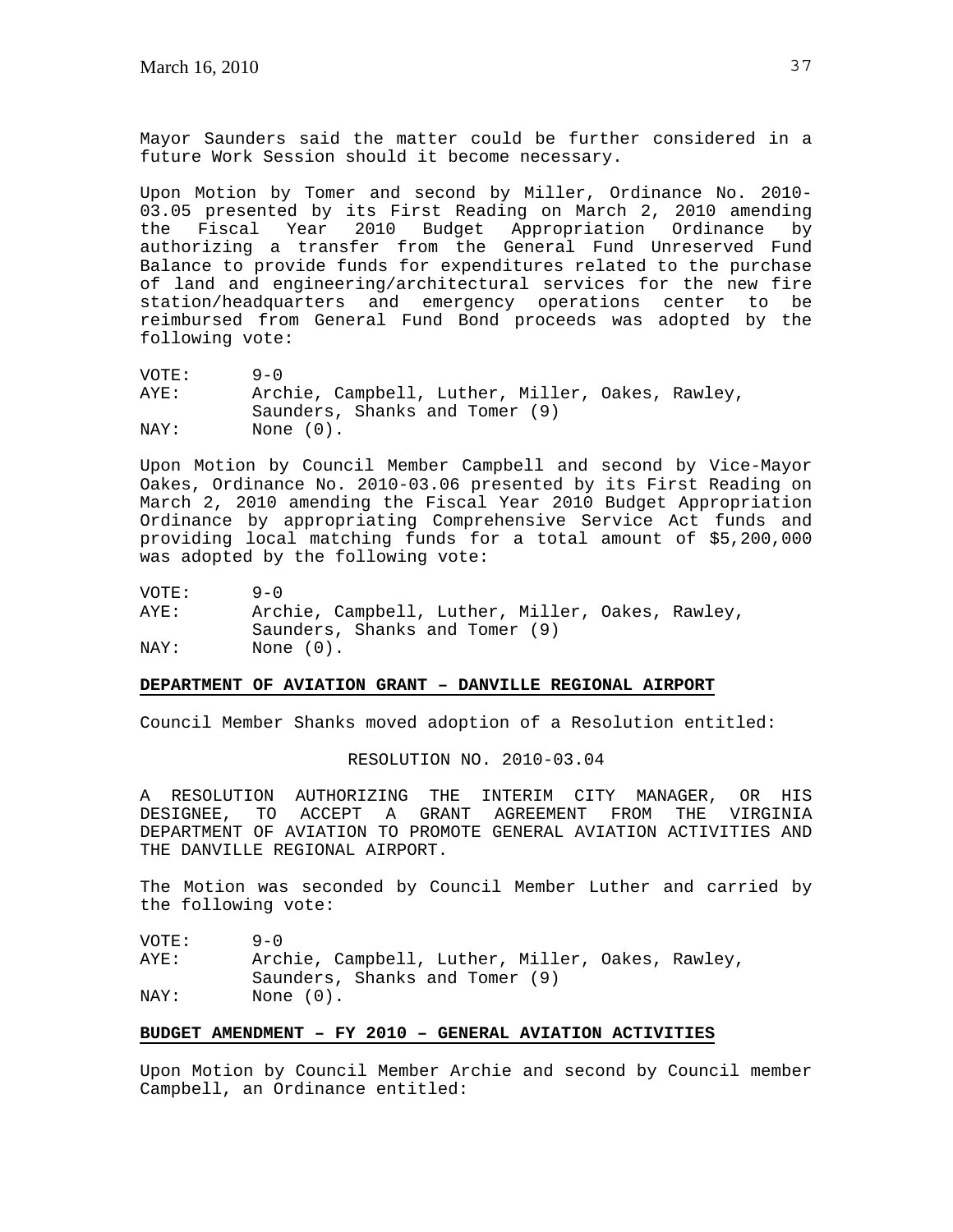Mayor Saunders said the matter could be further considered in a future Work Session should it become necessary.

Upon Motion by Tomer and second by Miller, Ordinance No. 2010- 03.05 presented by its First Reading on March 2, 2010 amending the Fiscal Year 2010 Budget Appropriation Ordinance by authorizing a transfer from the General Fund Unreserved Fund Balance to provide funds for expenditures related to the purchase of land and engineering/architectural services for the new fire station/headquarters and emergency operations center to be reimbursed from General Fund Bond proceeds was adopted by the following vote:

VOTE: 9-0 AYE: Archie, Campbell, Luther, Miller, Oakes, Rawley, Saunders, Shanks and Tomer (9) NAY: None (0).

Upon Motion by Council Member Campbell and second by Vice-Mayor Oakes, Ordinance No. 2010-03.06 presented by its First Reading on March 2, 2010 amending the Fiscal Year 2010 Budget Appropriation Ordinance by appropriating Comprehensive Service Act funds and providing local matching funds for a total amount of \$5,200,000 was adopted by the following vote:

| VOTE: | $9 - 0$                                                                            |
|-------|------------------------------------------------------------------------------------|
| AYE:  | Archie, Campbell, Luther, Miller, Oakes, Rawley,<br>Saunders, Shanks and Tomer (9) |
| NAY:  | None (0).                                                                          |

### **DEPARTMENT OF AVIATION GRANT – DANVILLE REGIONAL AIRPORT**

Council Member Shanks moved adoption of a Resolution entitled:

RESOLUTION NO. 2010-03.04

A RESOLUTION AUTHORIZING THE INTERIM CITY MANAGER, OR HIS DESIGNEE, TO ACCEPT A GRANT AGREEMENT FROM THE VIRGINIA DEPARTMENT OF AVIATION TO PROMOTE GENERAL AVIATION ACTIVITIES AND THE DANVILLE REGIONAL AIRPORT.

The Motion was seconded by Council Member Luther and carried by the following vote:

VOTE: 9-0 AYE: Archie, Campbell, Luther, Miller, Oakes, Rawley, Saunders, Shanks and Tomer (9)<br>NAY: None (0). None  $(0)$ .

# **BUDGET AMENDMENT – FY 2010 – GENERAL AVIATION ACTIVITIES**

Upon Motion by Council Member Archie and second by Council member Campbell, an Ordinance entitled: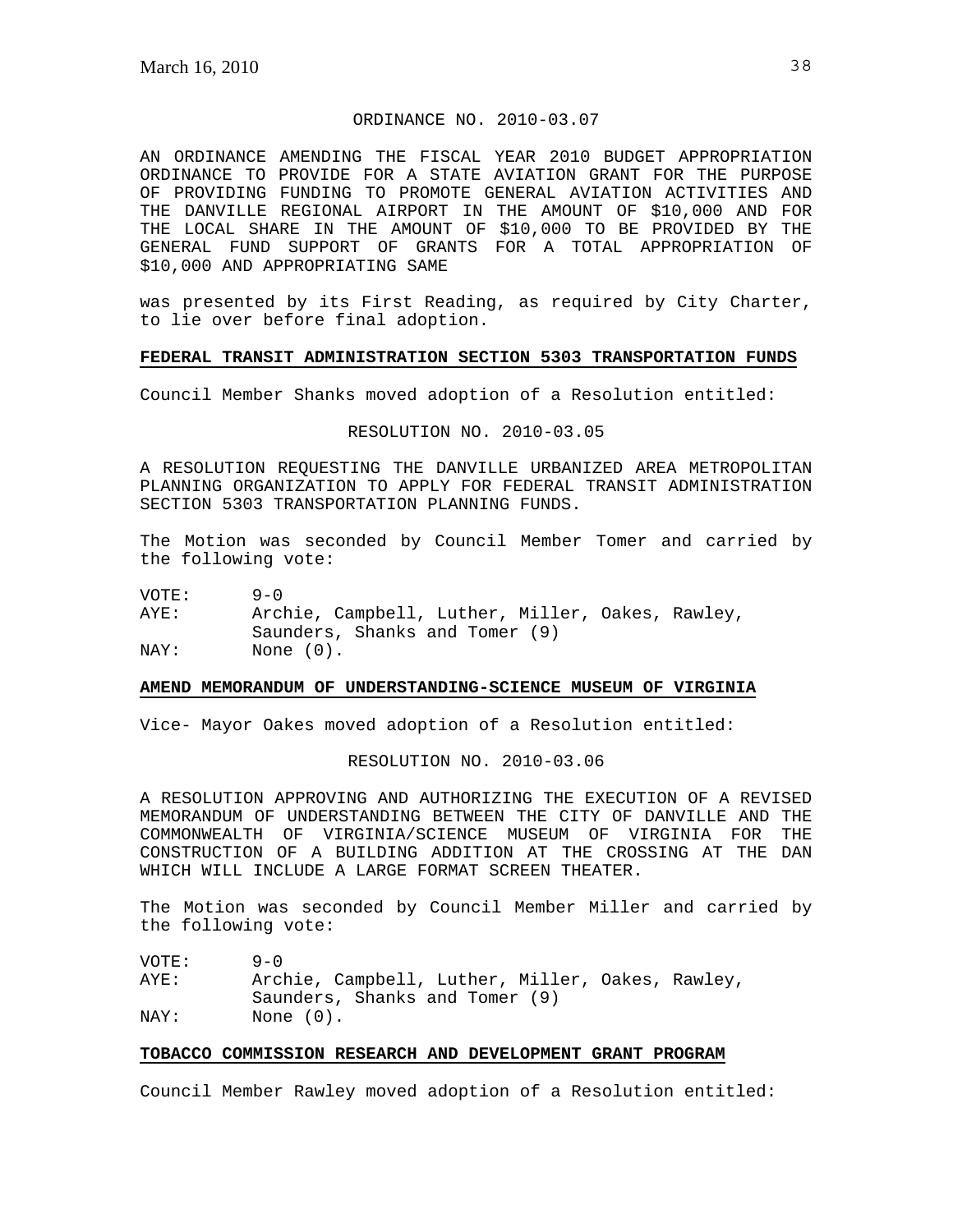# ORDINANCE NO. 2010-03.07

AN ORDINANCE AMENDING THE FISCAL YEAR 2010 BUDGET APPROPRIATION ORDINANCE TO PROVIDE FOR A STATE AVIATION GRANT FOR THE PURPOSE OF PROVIDING FUNDING TO PROMOTE GENERAL AVIATION ACTIVITIES AND THE DANVILLE REGIONAL AIRPORT IN THE AMOUNT OF \$10,000 AND FOR THE LOCAL SHARE IN THE AMOUNT OF \$10,000 TO BE PROVIDED BY THE GENERAL FUND SUPPORT OF GRANTS FOR A TOTAL APPROPRIATION OF \$10,000 AND APPROPRIATING SAME

was presented by its First Reading, as required by City Charter, to lie over before final adoption.

### **FEDERAL TRANSIT ADMINISTRATION SECTION 5303 TRANSPORTATION FUNDS**

Council Member Shanks moved adoption of a Resolution entitled:

RESOLUTION NO. 2010-03.05

A RESOLUTION REQUESTING THE DANVILLE URBANIZED AREA METROPOLITAN PLANNING ORGANIZATION TO APPLY FOR FEDERAL TRANSIT ADMINISTRATION SECTION 5303 TRANSPORTATION PLANNING FUNDS.

The Motion was seconded by Council Member Tomer and carried by the following vote:

VOTE: 9-0

AYE: Archie, Campbell, Luther, Miller, Oakes, Rawley, Saunders, Shanks and Tomer (9) NAY: None  $(0)$ .

### **AMEND MEMORANDUM OF UNDERSTANDING-SCIENCE MUSEUM OF VIRGINIA**

Vice- Mayor Oakes moved adoption of a Resolution entitled:

RESOLUTION NO. 2010-03.06

A RESOLUTION APPROVING AND AUTHORIZING THE EXECUTION OF A REVISED MEMORANDUM OF UNDERSTANDING BETWEEN THE CITY OF DANVILLE AND THE COMMONWEALTH OF VIRGINIA/SCIENCE MUSEUM OF VIRGINIA FOR THE CONSTRUCTION OF A BUILDING ADDITION AT THE CROSSING AT THE DAN WHICH WILL INCLUDE A LARGE FORMAT SCREEN THEATER.

The Motion was seconded by Council Member Miller and carried by the following vote:

| VOTE: | $9 - 0$                                          |
|-------|--------------------------------------------------|
| AYE:  | Archie, Campbell, Luther, Miller, Oakes, Rawley, |
|       | Saunders, Shanks and Tomer (9)                   |
| NAY:  | None $(0)$ .                                     |

# **TOBACCO COMMISSION RESEARCH AND DEVELOPMENT GRANT PROGRAM**

Council Member Rawley moved adoption of a Resolution entitled: